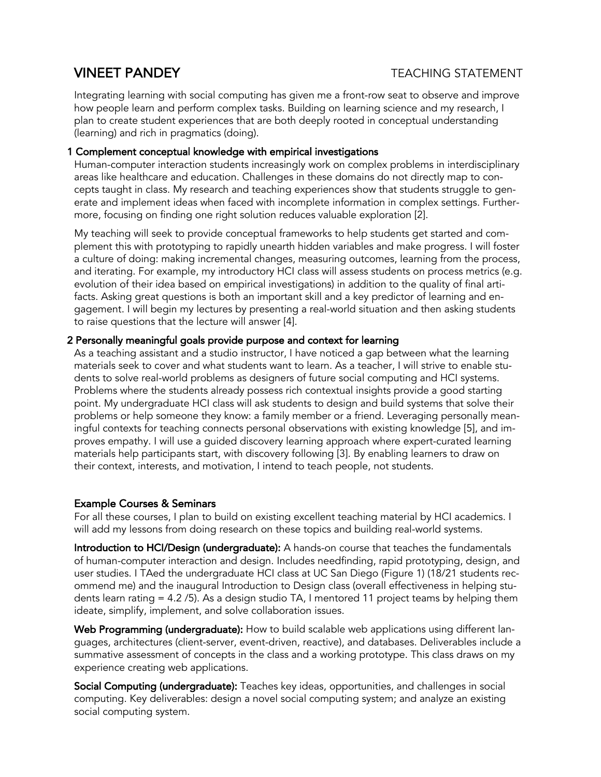# **VINEET PANDEY** TEACHING STATEMENT

Integrating learning with social computing has given me a front-row seat to observe and improve how people learn and perform complex tasks. Building on learning science and my research, I plan to create student experiences that are both deeply rooted in conceptual understanding (learning) and rich in pragmatics (doing).

### 1 Complement conceptual knowledge with empirical investigations

Human-computer interaction students increasingly work on complex problems in interdisciplinary areas like healthcare and education. Challenges in these domains do not directly map to concepts taught in class. My research and teaching experiences show that students struggle to generate and implement ideas when faced with incomplete information in complex settings. Furthermore, focusing on finding one right solution reduces valuable exploration [2].

My teaching will seek to provide conceptual frameworks to help students get started and complement this with prototyping to rapidly unearth hidden variables and make progress. I will foster a culture of doing: making incremental changes, measuring outcomes, learning from the process, and iterating. For example, my introductory HCI class will assess students on process metrics (e.g. evolution of their idea based on empirical investigations) in addition to the quality of final artifacts. Asking great questions is both an important skill and a key predictor of learning and engagement. I will begin my lectures by presenting a real-world situation and then asking students to raise questions that the lecture will answer [4].

#### 2 Personally meaningful goals provide purpose and context for learning

As a teaching assistant and a studio instructor, I have noticed a gap between what the learning materials seek to cover and what students want to learn. As a teacher, I will strive to enable students to solve real-world problems as designers of future social computing and HCI systems. Problems where the students already possess rich contextual insights provide a good starting point. My undergraduate HCI class will ask students to design and build systems that solve their problems or help someone they know: a family member or a friend. Leveraging personally meaningful contexts for teaching connects personal observations with existing knowledge [5], and improves empathy. I will use a guided discovery learning approach where expert-curated learning materials help participants start, with discovery following [3]. By enabling learners to draw on their context, interests, and motivation, I intend to teach people, not students.

## Example Courses & Seminars

For all these courses, I plan to build on existing excellent teaching material by HCI academics. I will add my lessons from doing research on these topics and building real-world systems.

Introduction to HCI/Design (undergraduate): A hands-on course that teaches the fundamentals of human-computer interaction and design. Includes needfinding, rapid prototyping, design, and user studies. I TAed the undergraduate HCI class at UC San Diego (Figure 1) (18/21 students recommend me) and the inaugural Introduction to Design class (overall effectiveness in helping students learn rating = 4.2 /5). As a design studio TA, I mentored 11 project teams by helping them ideate, simplify, implement, and solve collaboration issues.

Web Programming (undergraduate): How to build scalable web applications using different languages, architectures (client-server, event-driven, reactive), and databases. Deliverables include a summative assessment of concepts in the class and a working prototype. This class draws on my experience creating web applications.

Social Computing (undergraduate): Teaches key ideas, opportunities, and challenges in social computing. Key deliverables: design a novel social computing system; and analyze an existing social computing system.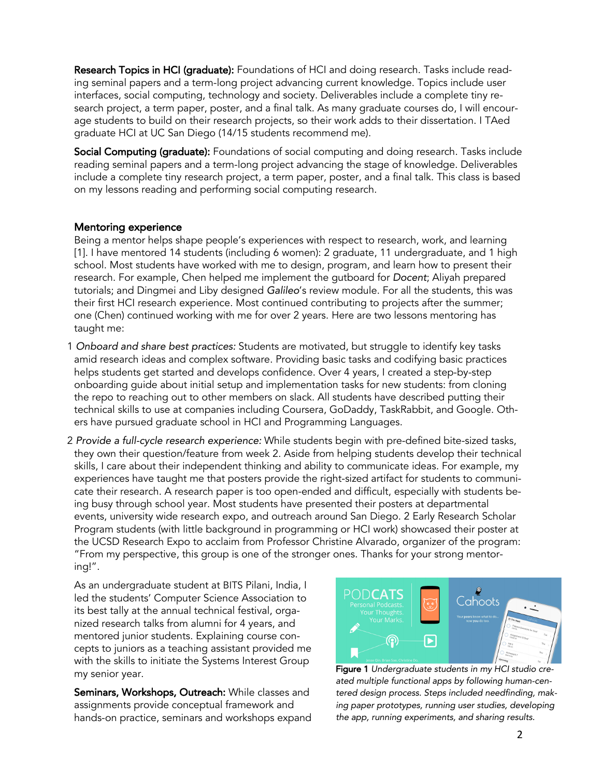Research Topics in HCI (graduate): Foundations of HCI and doing research. Tasks include reading seminal papers and a term-long project advancing current knowledge. Topics include user interfaces, social computing, technology and society. Deliverables include a complete tiny research project, a term paper, poster, and a final talk. As many graduate courses do, I will encourage students to build on their research projects, so their work adds to their dissertation. I TAed graduate HCI at UC San Diego (14/15 students recommend me).

Social Computing (graduate): Foundations of social computing and doing research. Tasks include reading seminal papers and a term-long project advancing the stage of knowledge. Deliverables include a complete tiny research project, a term paper, poster, and a final talk. This class is based on my lessons reading and performing social computing research.

#### Mentoring experience

Being a mentor helps shape people's experiences with respect to research, work, and learning [1]. I have mentored 14 students (including 6 women): 2 graduate, 11 undergraduate, and 1 high school. Most students have worked with me to design, program, and learn how to present their research. For example, Chen helped me implement the gutboard for *Docent*; Aliyah prepared tutorials; and Dingmei and Liby designed *Galileo*'s review module. For all the students, this was their first HCI research experience. Most continued contributing to projects after the summer; one (Chen) continued working with me for over 2 years. Here are two lessons mentoring has taught me:

- 1 *Onboard and share best practices:* Students are motivated, but struggle to identify key tasks amid research ideas and complex software. Providing basic tasks and codifying basic practices helps students get started and develops confidence. Over 4 years, I created a step-by-step onboarding guide about initial setup and implementation tasks for new students: from cloning the repo to reaching out to other members on slack. All students have described putting their technical skills to use at companies including Coursera, GoDaddy, TaskRabbit, and Google. Others have pursued graduate school in HCI and Programming Languages.
- 2 *Provide a full-cycle research experience:* While students begin with pre-defined bite-sized tasks, they own their question/feature from week 2. Aside from helping students develop their technical skills, I care about their independent thinking and ability to communicate ideas. For example, my experiences have taught me that posters provide the right-sized artifact for students to communicate their research. A research paper is too open-ended and difficult, especially with students being busy through school year. Most students have presented their posters at departmental events, university wide research expo, and outreach around San Diego. 2 Early Research Scholar Program students (with little background in programming or HCI work) showcased their poster at the UCSD Research Expo to acclaim from Professor Christine Alvarado, organizer of the program: "From my perspective, this group is one of the stronger ones. Thanks for your strong mentoring!".

As an undergraduate student at BITS Pilani, India, I led the students' Computer Science Association to its best tally at the annual technical festival, organized research talks from alumni for 4 years, and mentored junior students. Explaining course concepts to juniors as a teaching assistant provided me with the skills to initiate the Systems Interest Group my senior year.

Seminars, Workshops, Outreach: While classes and assignments provide conceptual framework and hands-on practice, seminars and workshops expand



Figure 1 *Undergraduate students in my HCI studio created multiple functional apps by following human-centered design process. Steps included needfinding, making paper prototypes, running user studies, developing the app, running experiments, and sharing results.*